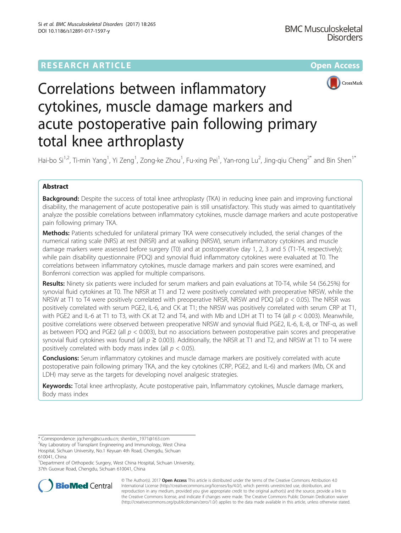# **RESEARCH ARTICLE Example 2014 12:30 The Community Community Community Community Community Community Community**



# Correlations between inflammatory cytokines, muscle damage markers and acute postoperative pain following primary total knee arthroplasty

Hai-bo Si<sup>1,2</sup>, Ti-min Yang<sup>1</sup>, Yi Zeng<sup>1</sup>, Zong-ke Zhou<sup>1</sup>, Fu-xing Pei<sup>1</sup>, Yan-rong Lu<sup>2</sup>, Jing-qiu Cheng<sup>2\*</sup> and Bin Shen<sup>1\*</sup>

# Abstract

**Background:** Despite the success of total knee arthroplasty (TKA) in reducing knee pain and improving functional disability, the management of acute postoperative pain is still unsatisfactory. This study was aimed to quantitatively analyze the possible correlations between inflammatory cytokines, muscle damage markers and acute postoperative pain following primary TKA.

Methods: Patients scheduled for unilateral primary TKA were consecutively included, the serial changes of the numerical rating scale (NRS) at rest (NRSR) and at walking (NRSW), serum inflammatory cytokines and muscle damage markers were assessed before surgery (T0) and at postoperative day 1, 2, 3 and 5 (T1-T4, respectively); while pain disability questionnaire (PDQ) and synovial fluid inflammatory cytokines were evaluated at T0. The correlations between inflammatory cytokines, muscle damage markers and pain scores were examined, and Bonferroni correction was applied for multiple comparisons.

Results: Ninety six patients were included for serum markers and pain evaluations at T0-T4, while 54 (56.25%) for synovial fluid cytokines at T0. The NRSR at T1 and T2 were positively correlated with preoperative NRSW, while the NRSW at T1 to T4 were positively correlated with preoperative NRSR, NRSW and PDQ (all  $p < 0.05$ ). The NRSR was positively correlated with serum PGE2, IL-6, and CK at T1; the NRSW was positively correlated with serum CRP at T1, with PGE2 and IL-6 at T1 to T3, with CK at T2 and T4, and with Mb and LDH at T1 to T4 (all  $p < 0.003$ ). Meanwhile, positive correlations were observed between preoperative NRSW and synovial fluid PGE2, IL-6, IL-8, or TNF-α, as well as between PDQ and PGE2 (all  $p < 0.003$ ), but no associations between postoperative pain scores and preoperative synovial fluid cytokines was found (all  $p \ge 0.003$ ). Additionally, the NRSR at T1 and T2, and NRSW at T1 to T4 were positively correlated with body mass index (all  $p < 0.05$ ).

**Conclusions:** Serum inflammatory cytokines and muscle damage markers are positively correlated with acute postoperative pain following primary TKA, and the key cytokines (CRP, PGE2, and IL-6) and markers (Mb, CK and LDH) may serve as the targets for developing novel analgesic strategies.

Keywords: Total knee arthroplasty, Acute postoperative pain, Inflammatory cytokines, Muscle damage markers, Body mass index

<sup>1</sup>Department of Orthopedic Surgery, West China Hospital, Sichuan University, 37th Guoxue Road, Chengdu, Sichuan 610041, China



© The Author(s). 2017 **Open Access** This article is distributed under the terms of the Creative Commons Attribution 4.0 International License [\(http://creativecommons.org/licenses/by/4.0/](http://creativecommons.org/licenses/by/4.0/)), which permits unrestricted use, distribution, and reproduction in any medium, provided you give appropriate credit to the original author(s) and the source, provide a link to the Creative Commons license, and indicate if changes were made. The Creative Commons Public Domain Dedication waiver [\(http://creativecommons.org/publicdomain/zero/1.0/](http://creativecommons.org/publicdomain/zero/1.0/)) applies to the data made available in this article, unless otherwise stated.

<sup>\*</sup> Correspondence: [jqcheng@scu.edu.cn;](mailto:jqcheng@scu.edu.cn) [shenbin\\_1971@163.com](mailto:shenbin_1971@163.com) <sup>2</sup>

<sup>&</sup>lt;sup>2</sup>Key Laboratory of Transplant Engineering and Immunology, West China Hospital, Sichuan University, No.1 Keyuan 4th Road, Chengdu, Sichuan 610041, China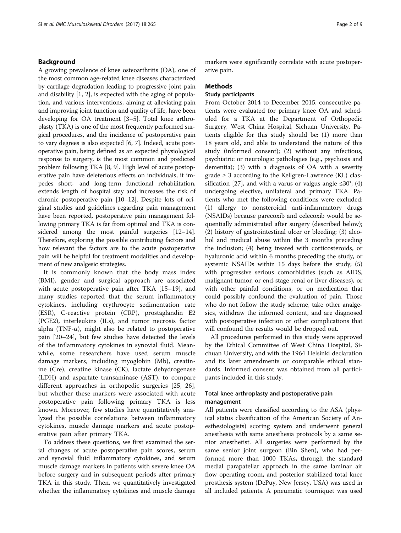# Background

A growing prevalence of knee osteoarthritis (OA), one of the most common age-related knee diseases characterized by cartilage degradation leading to progressive joint pain and disability [\[1](#page-7-0), [2](#page-7-0)], is expected with the aging of population, and various interventions, aiming at alleviating pain and improving joint function and quality of life, have been developing for OA treatment [\[3](#page-7-0)–[5\]](#page-7-0). Total knee arthroplasty (TKA) is one of the most frequently performed surgical procedures, and the incidence of postoperative pain to vary degrees is also expected [\[6](#page-7-0), [7](#page-7-0)]. Indeed, acute postoperative pain, being defined as an expected physiological response to surgery, is the most common and predicted problem following TKA [[8, 9](#page-7-0)]. High level of acute postoperative pain have deleterious effects on individuals, it impedes short- and long-term functional rehabilitation, extends length of hospital stay and increases the risk of chronic postoperative pain [[10](#page-7-0)–[12\]](#page-7-0). Despite lots of original studies and guidelines regarding pain management have been reported, postoperative pain management following primary TKA is far from optimal and TKA is considered among the most painful surgeries [\[12](#page-7-0)–[14](#page-7-0)]. Therefore, exploring the possible contributing factors and how relevant the factors are to the acute postoperative pain will be helpful for treatment modalities and development of new analgesic strategies.

It is commonly known that the body mass index (BMI), gender and surgical approach are associated with acute postoperative pain after TKA [[15](#page-8-0)–[19\]](#page-8-0), and many studies reported that the serum inflammatory cytokines, including erythrocyte sedimentation rate (ESR), C-reactive protein (CRP), prostaglandin E2 (PGE2), interleukins (ILs), and tumor necrosis factor alpha (TNF- $\alpha$ ), might also be related to postoperative pain [\[20](#page-8-0)–[24](#page-8-0)], but few studies have detected the levels of the inflammatory cytokines in synovial fluid. Meanwhile, some researchers have used serum muscle damage markers, including myoglobin (Mb), creatinine (Cre), creatine kinase (CK), lactate dehydrogenase (LDH) and aspartate transaminase (AST), to compare different approaches in orthopedic surgeries [[25, 26](#page-8-0)], but whether these markers were associated with acute postoperative pain following primary TKA is less known. Moreover, few studies have quantitatively analyzed the possible correlations between inflammatory cytokines, muscle damage markers and acute postoperative pain after primary TKA.

To address these questions, we first examined the serial changes of acute postoperative pain scores, serum and synovial fluid inflammatory cytokines, and serum muscle damage markers in patients with severe knee OA before surgery and in subsequent periods after primary TKA in this study. Then, we quantitatively investigated whether the inflammatory cytokines and muscle damage markers were significantly correlate with acute postoperative pain.

#### Methods

# Study participants

From October 2014 to December 2015, consecutive patients were evaluated for primary knee OA and scheduled for a TKA at the Department of Orthopedic Surgery, West China Hospital, Sichuan University. Patients eligible for this study should be: (1) more than 18 years old, and able to understand the nature of this study (informed consent); (2) without any infectious, psychiatric or neurologic pathologies (e.g., psychosis and dementia); (3) with a diagnosis of OA with a severity grade  $\geq$  3 according to the Kellgren-Lawrence (KL) clas-sification [[27\]](#page-8-0), and with a varus or valgus angle  $\leq 30^\circ$ ; (4) undergoing elective, unilateral and primary TKA. Patients who met the following conditions were excluded: (1) allergy to nonsteroidal anti-inflammatory drugs (NSAIDs) because parecoxib and celecoxib would be sequentially administrated after surgery (described below); (2) history of gastrointestinal ulcer or bleeding; (3) alcohol and medical abuse within the 3 months preceding the inclusion; (4) being treated with corticosteroids, or hyaluronic acid within 6 months preceding the study, or systemic NSAIDs within 15 days before the study; (5) with progressive serious comorbidities (such as AIDS, malignant tumor, or end-stage renal or liver diseases), or with other painful conditions, or on medication that could possibly confound the evaluation of pain. Those who do not follow the study scheme, take other analgesics, withdraw the informed content, and are diagnosed with postoperative infection or other complications that will confound the results would be dropped out.

All procedures performed in this study were approved by the Ethical Committee of West China Hospital, Sichuan University, and with the 1964 Helsinki declaration and its later amendments or comparable ethical standards. Informed consent was obtained from all participants included in this study.

# Total knee arthroplasty and postoperative pain management

All patients were classified according to the ASA (physical status classification of the American Society of Anesthesiologists) scoring system and underwent general anesthesia with same anesthesia protocols by a same senior anesthetist. All surgeries were performed by the same senior joint surgeon (Bin Shen), who had performed more than 1000 TKAs, through the standard medial parapatellar approach in the same laminar air flow operating room, and posterior stabilized total knee prosthesis system (DePuy, New Jersey, USA) was used in all included patients. A pneumatic tourniquet was used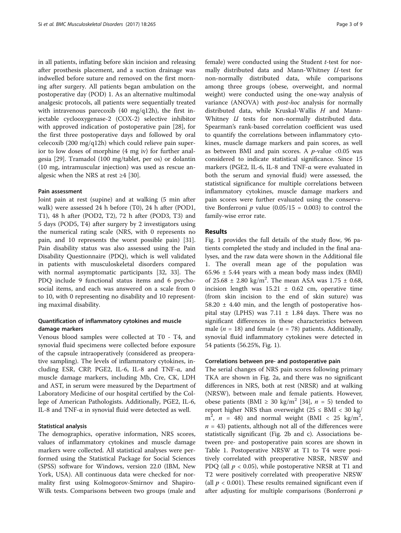in all patients, inflating before skin incision and releasing after prosthesis placement, and a suction drainage was indwelled before suture and removed on the first morning after surgery. All patients began ambulation on the postoperative day (POD) 1. As an alternative multimodal analgesic protocols, all patients were sequentially treated with intravenous parecoxib (40 mg/q12h), the first injectable cyclooxygenase-2 (COX-2) selective inhibitor with approved indication of postoperative pain [[28\]](#page-8-0), for the first three postoperative days and followed by oral celecoxib (200 mg/q12h) which could relieve pain superior to low doses of morphine (4 mg iv) for further analgesia [\[29](#page-8-0)]. Tramadol (100 mg/tablet, per os) or dolantin (10 mg, intramuscular injection) was used as rescue analgesic when the NRS at rest  $\geq 4$  [[30](#page-8-0)].

#### Pain assessment

Joint pain at rest (supine) and at walking (5 min after walk) were assessed 24 h before (T0), 24 h after (POD1, T1), 48 h after (POD2, T2), 72 h after (POD3, T3) and 5 days (POD5, T4) after surgery by 2 investigators using the numerical rating scale (NRS, with 0 represents no pain, and 10 represents the worst possible pain) [\[31](#page-8-0)]. Pain disability status was also assessed using the Pain Disability Questionnaire (PDQ), which is well validated in patients with musculoskeletal disorders compared with normal asymptomatic participants [[32](#page-8-0), [33](#page-8-0)]. The PDQ include 9 functional status items and 6 psychosocial items, and each was answered on a scale from 0 to 10, with 0 representing no disability and 10 representing maximal disability.

# Quantification of inflammatory cytokines and muscle damage markers

Venous blood samples were collected at T0 - T4, and synovial fluid specimens were collected before exposure of the capsule intraoperatively (considered as preoperative sampling). The levels of inflammatory cytokines, including ESR, CRP, PGE2, IL-6, IL-8 and TNF-α, and muscle damage markers, including Mb, Cre, CK, LDH and AST, in serum were measured by the Department of Laboratory Medicine of our hospital certified by the College of American Pathologists. Additionally, PGE2, IL-6, IL-8 and TNF- $\alpha$  in synovial fluid were detected as well.

#### Statistical analysis

The demographics, operative information, NRS scores, values of inflammatory cytokines and muscle damage markers were collected. All statistical analyses were performed using the Statistical Package for Social Sciences (SPSS) software for Windows, version 22.0 (IBM, New York, USA). All continuous data were checked for normality first using Kolmogorov-Smirnov and Shapiro-Wilk tests. Comparisons between two groups (male and female) were conducted using the Student  $t$ -test for normally distributed data and Mann-Whitney U-test for non-normally distributed data, while comparisons among three groups (obese, overweight, and normal weight) were conducted using the one-way analysis of variance (ANOVA) with post-hoc analysis for normally distributed data, while Kruskal-Wallis  $H$  and Mann-Whitney *U* tests for non-normally distributed data. Spearman's rank-based correlation coefficient was used to quantify the correlations between inflammatory cytokines, muscle damage markers and pain scores, as well as between BMI and pain scores. A  $p$ -value <0.05 was considered to indicate statistical significance. Since 15 markers (PGE2, IL-6, IL-8 and TNF-α were evaluated in both the serum and synovial fluid) were assessed, the statistical significance for multiple correlations between inflammatory cytokines, muscle damage markers and pain scores were further evaluated using the conservative Bonferroni  $p$  value (0.05/15 = 0.003) to control the family-wise error rate.

# Results

Fig. [1](#page-3-0) provides the full details of the study flow, 96 patients completed the study and included in the final analyses, and the raw data were shown in the Additional file [1.](#page-7-0) The overall mean age of the population was  $65.96 \pm 5.44$  years with a mean body mass index (BMI) of 25.68  $\pm$  2.80 kg/m<sup>2</sup>. The mean ASA was 1.75  $\pm$  0.68, incision length was  $15.21 \pm 0.62$  cm, operative time (from skin incision to the end of skin suture) was  $58.20 \pm 4.40$  min, and the length of postoperative hospital stay (LPHS) was  $7.11 \pm 1.84$  days. There was no significant differences in these characteristics between male ( $n = 18$ ) and female ( $n = 78$ ) patients. Additionally, synovial fluid inflammatory cytokines were detected in 54 patients (56.25%, Fig. [1\)](#page-3-0).

#### Correlations between pre- and postoperative pain

The serial changes of NRS pain scores following primary TKA are shown in Fig. [2a](#page-3-0), and there was no significant differences in NRS, both at rest (NRSR) and at walking (NRSW), between male and female patients. However, obese patients (BMI  $\geq$  30 kg/m<sup>2</sup> [\[34](#page-8-0)],  $n = 5$ ) tended to report higher NRS than overweight  $(25 \leq BMI < 30 \text{ kg})$  $m^2$ ,  $n = 48$ ) and normal weight (BMI < 25 kg/m<sup>2</sup>,  $n = 43$ ) patients, although not all of the differences were statistically significant (Fig. [2b and c](#page-3-0)). Associations between pre- and postoperative pain scores are shown in Table [1](#page-4-0). Postoperative NRSW at T1 to T4 were positively correlated with preoperative NRSR, NRSW and PDQ (all  $p < 0.05$ ), while postoperative NRSR at T1 and T2 were positively correlated with preoperative NRSW (all  $p < 0.001$ ). These results remained significant even if after adjusting for multiple comparisons (Bonferroni  $p$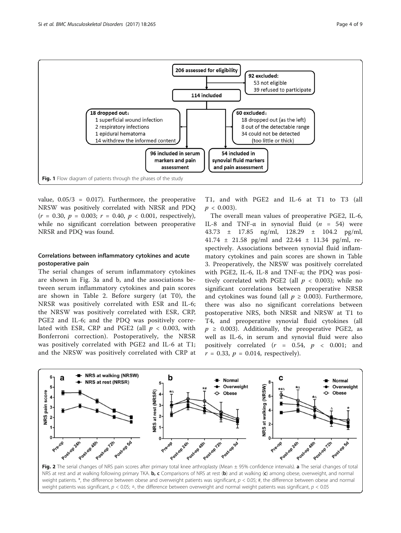<span id="page-3-0"></span>

value,  $0.05/3 = 0.017$ ). Furthermore, the preoperative NRSW was positively correlated with NRSR and PDQ  $(r = 0.30, p = 0.003; r = 0.40, p < 0.001$ , respectively), while no significant correlation between preoperative NRSR and PDQ was found.

# Correlations between inflammatory cytokines and acute postoperative pain

The serial changes of serum inflammatory cytokines are shown in Fig. [3a and b](#page-4-0), and the associations between serum inflammatory cytokines and pain scores are shown in Table [2.](#page-5-0) Before surgery (at T0), the NRSR was positively correlated with ESR and IL-6; the NRSW was positively correlated with ESR, CRP, PGE2 and IL-6; and the PDQ was positively correlated with ESR, CRP and PGE2 (all  $p < 0.003$ , with Bonferroni correction). Postoperatively, the NRSR was positively correlated with PGE2 and IL-6 at T1; and the NRSW was positively correlated with CRP at

T1, and with PGE2 and IL-6 at T1 to T3 (all  $p < 0.003$ ).

The overall mean values of preoperative PGE2, IL-6, IL-8 and TNF- $\alpha$  in synovial fluid ( $n = 54$ ) were 43.73 ± 17.85 ng/ml, 128.29 ± 104.2 pg/ml, 41.74 ± 21.58 pg/ml and 22.44 ± 11.34 pg/ml, respectively. Associations between synovial fluid inflammatory cytokines and pain scores are shown in Table [3.](#page-5-0) Preoperatively, the NRSW was positively correlated with PGE2, IL-6, IL-8 and TNF-α; the PDQ was positively correlated with PGE2 (all  $p < 0.003$ ); while no significant correlations between preoperative NRSR and cytokines was found (all  $p \ge 0.003$ ). Furthermore, there was also no significant correlations between postoperative NRS, both NRSR and NRSW at T1 to T4, and preoperative synovial fluid cytokines (all  $p \geq 0.003$ ). Additionally, the preoperative PGE2, as well as IL-6, in serum and synovial fluid were also positively correlated  $(r = 0.54, p < 0.001;$  and  $r = 0.33$ ,  $p = 0.014$ , respectively).



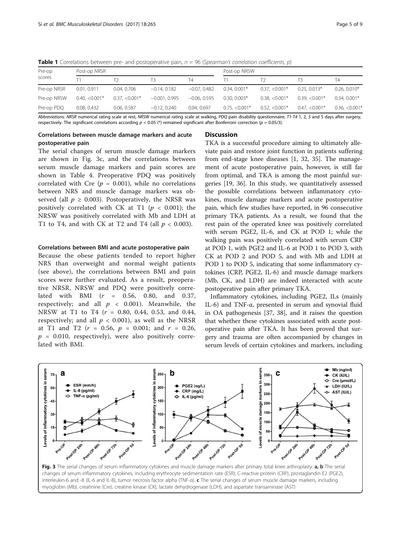<span id="page-4-0"></span>**Table 1** Correlations between pre- and postoperative pain,  $n = 96$  (Spearman's correlation coefficients, p)

| Post-op NRSR     |                  |                 |                | Post-op NRSW     |                     |                  |                  |  |  |
|------------------|------------------|-----------------|----------------|------------------|---------------------|------------------|------------------|--|--|
|                  |                  |                 | T4             |                  |                     |                  | T4               |  |  |
| 0.01, 0.911      | 0.04, 0.706      | $-0.14.0.182$   | $-0.07, 0.482$ | $0.34.0.001*$    | $0.37. < 0.001*$    | $0.25.0013*$     | $0.26, 0.010*$   |  |  |
| $0.40, < 0.001*$ | $0.37, < 0.001*$ | $-0.001, 0.995$ | $-0.06, 0.595$ | $0.30, 0.003*$   | $0.38$ , < $0.001*$ | $0.39. < 0.001*$ | $0.34.0.001*$    |  |  |
| 0.08, 0.432      | 0.06, 0.587      | $-0.12.$ 0.240  | 0.04, 0.697    | $0.75. < 0.001*$ | $0.52, < 0.001*$    | $0.47< 0.001*$   | $0.36. < 0.001*$ |  |  |
|                  |                  |                 |                |                  |                     |                  |                  |  |  |

Abbreviations: NRSR numerical rating scale at rest, NRSW numerical rating scale at walking, PDQ pain disability questionnaire, T1-T4 1, 2, 3 and 5 days after surgery, respectively. The significant correlations according  $p < 0.05$  (\*) remained significant after Bonferroni correction ( $p = 0.05/3$ ).

# Correlations between muscle damage markers and acute postoperative pain

The serial changes of serum muscle damage markers are shown in Fig. 3c, and the correlations between serum muscle damage markers and pain scores are shown in Table [4](#page-6-0). Preoperative PDQ was positively correlated with Cre ( $p = 0.001$ ), while no correlations between NRS and muscle damage markers was observed (all  $p \ge 0.003$ ). Postoperatively, the NRSR was positively correlated with CK at T1 ( $p < 0.001$ ); the NRSW was positively correlated with Mb and LDH at T1 to T4, and with CK at T2 and T4 (all  $p < 0.003$ ).

#### Correlations between BMI and acute postoperative pain

Because the obese patients tended to report higher NRS than overweight and normal weight patients (see above), the correlations between BMI and pain scores were further evaluated. As a result, preoperative NRSR, NRSW and PDQ were positively correlated with BMI  $(r = 0.56, 0.80, \text{ and } 0.37,$ respectively; and all  $p \, < \, 0.001$ ). Meanwhile, the NRSW at T1 to T4 (r = 0.80, 0.44, 0.53, and 0.44, respectively; and all  $p < 0.001$ ), as well as the NRSR at T1 and T2  $(r = 0.56, p = 0.001;$  and  $r = 0.26$ ,  $p = 0.010$ , respectively), were also positively correlated with BMI.

# **Discussion**

TKA is a successful procedure aiming to ultimately alleviate pain and restore joint function in patients suffering from end-stage knee diseases [[1,](#page-7-0) [32, 35](#page-8-0)]. The management of acute postoperative pain, however, is still far from optimal, and TKA is among the most painful surgeries [\[19](#page-8-0), [36](#page-8-0)]. In this study, we quantitatively assessed the possible correlations between inflammatory cytokines, muscle damage markers and acute postoperative pain, which few studies have reported, in 96 consecutive primary TKA patients. As a result, we found that the rest pain of the operated knee was positively correlated with serum PGE2, IL-6, and CK at POD 1; while the walking pain was positively correlated with serum CRP at POD 1, with PGE2 and IL-6 at POD 1 to POD 3, with CK at POD 2 and POD 5, and with Mb and LDH at POD 1 to POD 5, indicating that some inflammatory cytokines (CRP, PGE2, IL-6) and muscle damage markers (Mb, CK, and LDH) are indeed interacted with acute postoperative pain after primary TKA.

Inflammatory cytokines, including PGE2, ILs (mainly IL-6) and TNF-α, presented in serum and synovial fluid in OA pathogenesis [\[37](#page-8-0), [38](#page-8-0)], and it raises the question that whether these cytokines associated with acute postoperative pain after TKA. It has been proved that surgery and trauma are often accompanied by changes in serum levels of certain cytokines and markers, including

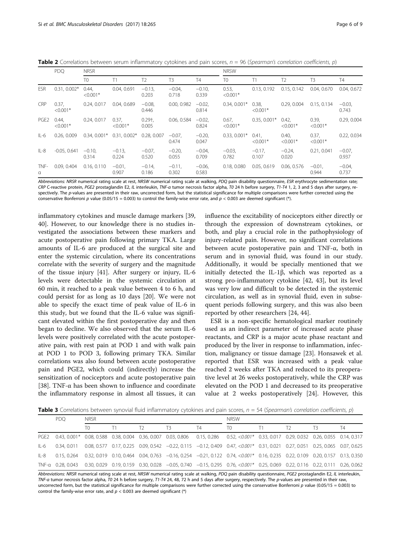|                  | PDO                 | <b>NRSR</b>         |                     |                    |                    |                    | <b>NRSW</b>         |                     |                     |                     |                    |  |
|------------------|---------------------|---------------------|---------------------|--------------------|--------------------|--------------------|---------------------|---------------------|---------------------|---------------------|--------------------|--|
|                  |                     | T <sub>0</sub>      |                     | T <sub>2</sub>     | T <sub>3</sub>     | <b>T4</b>          | T0                  |                     | T <sub>2</sub>      | T <sub>3</sub>      | <b>T4</b>          |  |
| <b>ESR</b>       | $0.31, 0.002*$      | 0.44.<br>$< 0.001*$ | 0.04, 0.691         | $-0.13.$<br>0.203  | $-0.04.$<br>0.718  | $-0.10$<br>0.339   | 0.53.<br>$< 0.001*$ | 0.13.0.192          | 0.15.0.142          | 0.04, 0.670         | 0.04, 0.672        |  |
| CRP              | 0.37.<br>$< 0.001*$ | 0.24, 0.017         | 0.04, 0.689         | $-0.08$<br>0.446   | 0.00, 0.982        | $-0.02$ .<br>0.814 | $0.34, 0.001*$      | 0.38.<br>$< 0.001*$ | 0.29, 0.004         | 0.15, 0.134         | $-0.03$<br>0.743   |  |
| PGE <sub>2</sub> | 0.44.<br>$< 0.001*$ | 0.24, 0.017         | 0.37.<br>$< 0.001*$ | $0.29+$<br>0.005   | 0.06, 0.584        | $-0.02.$<br>0.824  | 0.67,<br>$< 0.001*$ | $0.35, 0.001*$      | 0.42,<br>$< 0.001*$ | 0.39.<br>$< 0.001*$ | 0.29, 0.004        |  |
| $IL-6$           | 0.26, 0.009         | $0.34.0.001*$       | $0.31, 0.002*$      | 0.28, 0.007        | $-0.07$ .<br>0.474 | $-0.20$<br>0.047   | $0.33.0.001*$       | 0.41.<br>$< 0.001*$ | 0.40.<br>$< 0.001*$ | 0.37,<br>$< 0.001*$ | 0.22, 0.034        |  |
| $IL-8$           | $-0.05, 0.641$      | $-0.10.$<br>0.314   | $-0.13.$<br>0.224   | $-0.07$ .<br>0.520 | $-0.20.$<br>0.055  | $-0.04.$<br>0.709  | $-0.03.$<br>0.782   | $-0.17.$<br>0.107   | $-0.24$ .<br>0.020  | 0.21.0.041          | $-0.07$ ,<br>0.937 |  |
| TNF-<br>$\alpha$ | 0.09.0404           | 0.16.0110           | $-0.01$ .<br>0.907  | $-0.14.$<br>0.186  | $-0.11$ ,<br>0.302 | $-0.06$<br>0.583   | 0.18.0.080          | 0.05, 0.619         | 0.06, 0.576         | $-0.01$ ,<br>0.944  | $-0.04$<br>0.737   |  |

<span id="page-5-0"></span>**Table 2** Correlations between serum inflammatory cytokines and pain scores,  $n = 96$  (Spearman's correlation coefficients, p)

Abbreviations: NRSR numerical rating scale at rest, NRSW numerical rating scale at walking, PDQ pain disability questionnaire, ESR erythrocyte sedimentation rate; CRP C-reactive protein, PGE2 prostaglandin E2, IL interleukin, TNF-α tumor necrosis factor alpha, T0 24 h before surgery, T1-T4 1, 2, 3 and 5 days after surgery, respectively. The p-values are presented in their raw, uncorrected form, but the statistical significance for multiple comparisons were further corrected using the conservative Bonferroni p value (0.05/15 = 0.003) to control the family-wise error rate, and  $p < 0.003$  are deemed significant (\*).

inflammatory cytokines and muscle damage markers [[39](#page-8-0), [40\]](#page-8-0). However, to our knowledge there is no studies investigated the associations between these markers and acute postoperative pain following primary TKA. Large amounts of IL-6 are produced at the surgical site and enter the systemic circulation, where its concentrations correlate with the severity of surgery and the magnitude of the tissue injury [\[41](#page-8-0)]. After surgery or injury, IL-6 levels were detectable in the systemic circulation at 60 min, it reached to a peak value between 4 to 6 h, and could persist for as long as 10 days [[20\]](#page-8-0). We were not able to specify the exact time of peak value of IL-6 in this study, but we found that the IL-6 value was significant elevated within the first postoperative day and then began to decline. We also observed that the serum IL-6 levels were positively correlated with the acute postoperative pain, with rest pain at POD 1 and with walk pain at POD 1 to POD 3, following primary TKA. Similar correlations was also found between acute postoperative pain and PGE2, which could (indirectly) increase the sensitization of nociceptors and acute postoperative pain [[38\]](#page-8-0). TNF- $\alpha$  has been shown to influence and coordinate the inflammatory response in almost all tissues, it can influence the excitability of nociceptors either directly or through the expression of downstream cytokines, or both, and play a crucial role in the pathophysiology of injury-related pain. However, no significant correlations between acute postoperative pain and TNF-α, both in serum and in synovial fluid, was found in our study. Additionally, it would be specially mentioned that we initially detected the IL-1β, which was reported as a strong pro-inflammatory cytokine [\[42, 43](#page-8-0)], but its level was very low and difficult to be detected in the systemic circulation, as well as in synovial fluid, even in subsequent periods following surgery, and this was also been reported by other researchers [[24](#page-8-0), [44](#page-8-0)].

ESR is a non-specific hematological marker routinely used as an indirect parameter of increased acute phase reactants, and CRP is a major acute phase reactant and produced by the liver in response to inflammation, infection, malignancy or tissue damage [[23](#page-8-0)]. Honsawek et al. reported that ESR was increased with a peak value reached 2 weeks after TKA and reduced to its preoperative level at 26 weeks postoperatively, while the CRP was elevated on the POD 1 and decreased to its preoperative value at 2 weeks postoperatively [\[24](#page-8-0)]. However, this

**Table 3** Correlations between synovial fluid inflammatory cytokines and pain scores,  $n = 54$  (Spearman's correlation coefficients, p)

|                  | <b>PDO</b>        | <b>NRSR</b> |     |     | <b>NRSW</b> |                                                                                                                                                              |     |    |  |    |
|------------------|-------------------|-------------|-----|-----|-------------|--------------------------------------------------------------------------------------------------------------------------------------------------------------|-----|----|--|----|
|                  |                   |             | T2. | T3. | T4          | T0.                                                                                                                                                          | T1. | T2 |  | T4 |
| PGF <sub>2</sub> |                   |             |     |     |             | $0.43, 0.001*$ 0.08, 0.588 0.38, 0.004 0.36, 0.007 0.03, 0.806 0.15, 0.286 0.52, <0.001* 0.33, 0.017 0.29, 0.032 0.26, 0.055 0.14, 0.317                     |     |    |  |    |
| $II - 6$         | 0.34, 0.011       |             |     |     |             | $0.08, 0.577$ $0.17, 0.225$ $0.09, 0.542$ $-0.22, 0.115$ $-0.12, 0.409$ $0.47, <0.001*$ $0.31, 0.021$ $0.27, 0.051$ $0.25, 0.065$ $0.07, 0.625$              |     |    |  |    |
| II -8            |                   |             |     |     |             | $0.15, 0.264$ $0.32, 0.019$ $0.10, 0.464$ $0.04, 0.763$ $-0.16, 0.254$ $-0.21, 0.122$ $0.74, 0.001*$ $0.16, 0.235$ $0.22, 0.109$ $0.20, 0.157$ $0.13, 0.350$ |     |    |  |    |
|                  | TNF-a 0.28, 0.043 |             |     |     |             | $0.30, 0.029$ $0.19, 0.159$ $0.30, 0.028$ $-0.05, 0.740$ $-0.15, 0.295$ $0.76, 0.001* 0.25, 0.069 0.22, 0.116 0.22, 0.111 0.26, 0.062$                       |     |    |  |    |

Abbreviations: NRSR numerical rating scale at rest, NRSW numerical rating scale at walking, PDQ pain disability questionnaire, PGE2 prostaglandin E2, IL interleukin, TNF-a tumor necrosis factor alpha, T0 24 h before surgery, T1-T4 24, 48, 72 h and 5 days after surgery, respectively. The p-values are presented in their raw, uncorrected form, but the statistical significance for multiple comparisons were further corrected using the conservative Bonferroni p value (0.05/15 = 0.003) to control the family-wise error rate, and  $p < 0.003$  are deemed significant (\*)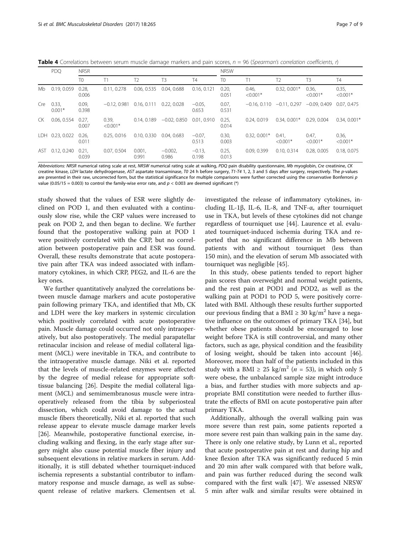<span id="page-6-0"></span>Table 4 Correlations between serum muscle damage markers and pain scores,  $n = 96$  (Spearman's correlation coefficients, r)

|            | <b>PDO</b>        | <b>NRSR</b>    |                     |                 |                     |                    |                | <b>NRSW</b>         |                     |                     |                     |  |  |
|------------|-------------------|----------------|---------------------|-----------------|---------------------|--------------------|----------------|---------------------|---------------------|---------------------|---------------------|--|--|
|            |                   | T0             | Τ1                  | T <sub>2</sub>  | T <sub>3</sub>      | T4                 | T <sub>0</sub> | Τ1                  | T2                  | T3                  | T4                  |  |  |
| Mb.        | 0.19, 0.059       | 0.28<br>0.006  | 0.11, 0.278         | 0.06, 0.535     | 0.04, 0.688         | 0.16, 0.121        | 0.20,<br>0.051 | 0.46,<br>$< 0.001*$ | $0.32, 0.001*$      | 0.36,<br>$< 0.001*$ | 0.35,<br>$< 0.001*$ |  |  |
| Cre        | 0.33,<br>$0.001*$ | 0.09,<br>0.398 | $-0.12, 0.981$      | 0.16, 0.111     | 0.22.0.028          | $-0.05$<br>0.653   | 0.07,<br>0.531 | $-0.16.0110$        | $-0.11, 0.297$      | $-0.09, 0.409$      | 0.07, 0.475         |  |  |
| CK.        | 0.06.0.554        | 0.27.<br>0.007 | 0.39.<br>$< 0.001*$ | 0.14.0.189      | $-0.02, 0.850$      | 0.01, 0.910        | 0.25,<br>0.014 | 0.24.0.019          | $0.34.0.001*$       | 0.29.0.004          | $0.34.0.001*$       |  |  |
| <b>LDH</b> | 0.23.0.022        | 0.26.<br>0.011 | 0.25.0.016          | 0.10, 0.330     | 0.04, 0.683         | $-0.07$ .<br>0.513 | 0.30.<br>0.003 | $0.32, 0.001*$      | 0.41.<br>$< 0.001*$ | 0.47.<br>$< 0.001*$ | 0.36.<br>$< 0.001*$ |  |  |
| AST        | 0.12.0.240        | 0.21.<br>0.039 | 0.07, 0.504         | 0.001,<br>0.991 | $-0.002$ .<br>0.986 | $-0.13.$<br>0.198  | 0.25,<br>0.013 | 0.09, 0.399         | 0.10.0314           | 0.28.0.005          | 0.18, 0.075         |  |  |

Abbreviations: NRSR numerical rating scale at rest, NRSW numerical rating scale at walking, PDQ pain disability questionnaire, Mb myoglobin, Cre creatinine, CK creatine kinase, LDH lactate dehydrogenase, AST aspartate transaminase, T0 24 h before surgery, T1-T4 1, 2, 3 and 5 days after surgery, respectively. The p-values are presented in their raw, uncorrected form, but the statistical significance for multiple comparisons were further corrected using the conservative Bonferroni p value (0.05/15 = 0.003) to control the family-wise error rate, and  $p < 0.003$  are deemed significant (\*)

study showed that the values of ESR were slightly declined on POD 1, and then evaluated with a continuously slow rise, while the CRP values were increased to peak on POD 2, and then began to decline. We further found that the postoperative walking pain at POD 1 were positively correlated with the CRP, but no correlation between postoperative pain and ESR was found. Overall, these results demonstrate that acute postoperative pain after TKA was indeed associated with inflammatory cytokines, in which CRP, PEG2, and IL-6 are the key ones.

We further quantitatively analyzed the correlations between muscle damage markers and acute postoperative pain following primary TKA, and identified that Mb, CK and LDH were the key markers in systemic circulation which positively correlated with acute postoperative pain. Muscle damage could occurred not only intraoperatively, but also postoperatively. The medial parapatellar retinacular incision and release of medial collateral ligament (MCL) were inevitable in TKA, and contribute to the intraoperative muscle damage. Niki et al. reported that the levels of muscle-related enzymes were affected by the degree of medial release for appropriate softtissue balancing [[26\]](#page-8-0). Despite the medial collateral ligament (MCL) and semimembranosus muscle were intraoperatively released from the tibia by subperiosteal dissection, which could avoid damage to the actual muscle fibers theoretically, Niki et al. reported that such release appear to elevate muscle damage marker levels [[26\]](#page-8-0). Meanwhile, postoperative functional exercise, including walking and flexing, in the early stage after surgery might also cause potential muscle fiber injury and subsequent elevations in relative markers in serum. Additionally, it is still debated whether tourniquet-induced ischemia represents a substantial contributor to inflammatory response and muscle damage, as well as subsequent release of relative markers. Clementsen et al. investigated the release of inflammatory cytokines, including IL-1β, IL-6, IL-8, and TNF-α, after tourniquet use in TKA, but levels of these cytokines did not change regardless of tourniquet use [[44\]](#page-8-0). Laurence et al. evaluated tourniquet-induced ischemia during TKA and reported that no significant difference in Mb between patients with and without tourniquet (less than 150 min), and the elevation of serum Mb associated with tourniquet was negligible [\[45](#page-8-0)].

In this study, obese patients tended to report higher pain scores than overweight and normal weight patients, and the rest pain at POD1 and POD2, as well as the walking pain at POD1 to POD 5, were positively correlated with BMI. Although these results further supported our previous finding that a BMI  $\geq$  30 kg/m<sup>2</sup> have a negative influence on the outcomes of primary TKA [[34\]](#page-8-0), but whether obese patients should be encouraged to lose weight before TKA is still controversial, and many other factors, such as age, physical condition and the feasibility of losing weight, should be taken into account [\[46](#page-8-0)]. Moreover, more than half of the patients included in this study with a BMI  $\geq$  25 kg/m<sup>2</sup> (*n* = 53), in which only 5 were obese, the unbalanced sample size might introduce a bias, and further studies with more subjects and appropriate BMI constitution were needed to further illustrate the effects of BMI on acute postoperative pain after primary TKA.

Additionally, although the overall walking pain was more severe than rest pain, some patients reported a more severe rest pain than walking pain in the same day. There is only one relative study, by Lunn et al., reported that acute postoperative pain at rest and during hip and knee flexion after TKA was significantly reduced 5 min and 20 min after walk compared with that before walk, and pain was further reduced during the second walk compared with the first walk [[47](#page-8-0)]. We assessed NRSW 5 min after walk and similar results were obtained in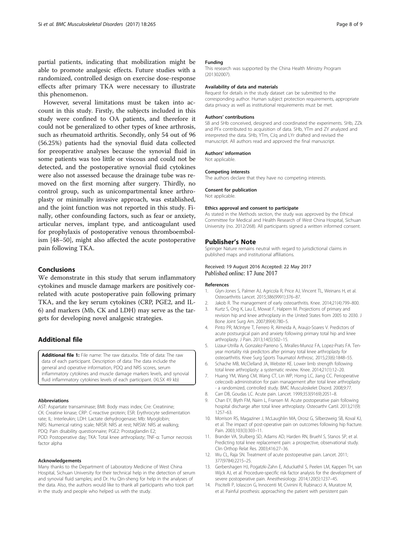<span id="page-7-0"></span>partial patients, indicating that mobilization might be able to promote analgesic effects. Future studies with a randomized, controlled design on exercise dose-response effects after primary TKA were necessary to illustrate this phenomenon.

However, several limitations must be taken into account in this study. Firstly, the subjects included in this study were confined to OA patients, and therefore it could not be generalized to other types of knee arthrosis, such as rheumatoid arthritis. Secondly, only 54 out of 96 (56.25%) patients had the synovial fluid data collected for preoperative analyses because the synovial fluid in some patients was too little or viscous and could not be detected, and the postoperative synovial fluid cytokines were also not assessed because the drainage tube was removed on the first morning after surgery. Thirdly, no control group, such as unicompartmental knee arthroplasty or minimally invasive approach, was established, and the joint function was not reported in this study. Finally, other confounding factors, such as fear or anxiety, articular nerves, implant type, and anticoagulant used for prophylaxis of postoperative venous thromboembolism [[48](#page-8-0)–[50](#page-8-0)], might also affected the acute postoperative pain following TKA.

# Conclusions

We demonstrate in this study that serum inflammatory cytokines and muscle damage markers are positively correlated with acute postoperative pain following primary TKA, and the key serum cytokines (CRP, PGE2, and IL-6) and markers (Mb, CK and LDH) may serve as the targets for developing novel analgesic strategies.

#### Additional file

[Additional file 1:](dx.doi.org/10.1186/s12891-017-1597-y) File name: The raw data.xlsx. Title of data: The raw data of each participant. Description of data: The data include the general and operative information, PDQ and NRS scores, serum inflammatory cytokines and muscle damage markers levels, and synovial fluid inflammatory cytokines levels of each participant. (XLSX 49 kb)

#### Abbreviations

AST: Aspartate transaminase; BMI: Body mass index; Cre: Creatinine; CK: Creatine kinase; CRP: C-reactive protein; ESR: Erythrocyte sedimentation rate; IL: Interleukin; LDH: Lactate dehydrogenase; Mb: Myoglobin; NRS: Numerical rating scale; NRSR: NRS at rest; NRSW: NRS at walking; PDQ: Pain disability questionnaire; PGE2: Prostaglandin E2; POD: Postoperative day; TKA: Total knee arthroplasty; TNF-α: Tumor necrosis factor alpha

#### Acknowledgements

Many thanks to the Department of Laboratory Medicine of West China Hospital, Sichuan University for their technical help in the detection of serum and synovial fluid samples; and Dr. Hu Qin-sheng for help in the analyses of the data. Also, the authors would like to thank all participants who took part in the study and people who helped us with the study.

#### Funding

This research was supported by the China Health Ministry Program (201302007).

#### Availability of data and materials

Request for details in the study dataset can be submitted to the corresponding author. Human subject protection requirements, appropriate data privacy as well as institutional requirements must be met.

#### Authors' contributions

SB and SHb conceived, designed and coordinated the experiments. SHb, ZZk and PFx contributed to acquisition of data. SHb, YTm and ZY analyzed and interpreted the data. SHb, YTm, CJq and LYr drafted and revised the manuscript. All authors read and approved the final manuscript.

#### Authors' information

Not applicable.

#### Competing interests

The authors declare that they have no competing interests.

#### Consent for publication

Not applicable.

#### Ethics approval and consent to participate

As stated in the Methods section, the study was approved by the Ethical Committee for Medical and Health Research of West China Hospital, Sichuan University (no. 2012/268). All participants signed a written informed consent.

#### Publisher's Note

Springer Nature remains neutral with regard to jurisdictional claims in published maps and institutional affiliations.

#### Received: 19 August 2016 Accepted: 22 May 2017 Published online: 17 June 2017

#### References

- 1. Glyn-Jones S, Palmer AJ, Agricola R, Price AJ, Vincent TL, Weinans H, et al. Osteoarthritis Lancet. 2015;386(9991):376–87.
- 2. Jakob R. The management of early osteoarthritis. Knee. 2014;21(4):799–800.
- 3. Kurtz S, Ong K, Lau E, Mowat F, Halpern M. Projections of primary and revision hip and knee arthroplasty in the United States from 2005 to 2030. J Bone Joint Surg Am. 2007;89(4):780–5.
- 4. Pinto PR, McIntyre T, Ferrero R, Almeida A, Araujo-Soares V. Predictors of acute postsurgical pain and anxiety following primary total hip and knee arthroplasty. J Pain. 2013;14(5):502–15.
- 5. Lizaur-Utrilla A, Gonzalez-Parreno S, Miralles-Munoz FA, Lopez-Prats FA. Tenyear mortality risk predictors after primary total knee arthroplasty for osteoarthritis. Knee Surg Sports Traumatol Arthrosc. 2015;23(6):1848–55.
- 6. Schache MB, McClelland JA, Webster KE. Lower limb strength following total knee arthroplasty: a systematic review. Knee. 2014;21(1):12–20.
- 7. Huang YM, Wang CM, Wang CT, Lin WP, Horng LC, Jiang CC. Perioperative celecoxib administration for pain management after total knee arthroplasty - a randomized, controlled study. BMC Musculoskelet Disord. 2008;9:77.
- 8. Carr DB, Goudas LC. Acute pain. Lancet. 1999;353(9169):2051–8.
- Chan EY, Blyth FM, Nairn L, Fransen M. Acute postoperative pain following hospital discharge after total knee arthroplasty. Osteoarthr Cartil. 2013;21(9): 1257–63.
- 10. Morrison RS, Magaziner J, McLaughlin MA, Orosz G, Silberzweig SB, Koval KJ, et al. The impact of post-operative pain on outcomes following hip fracture. Pain. 2003;103(3):303–11.
- 11. Brander VA, Stulberg SD, Adams AD, Harden RN, Bruehl S, Stanos SP, et al. Predicting total knee replacement pain: a prospective, observational study. Clin Orthop Relat Res. 2003;416:27–36.
- 12. Wu CL, Raja SN. Treatment of acute postoperative pain. Lancet. 2011; 377(9784):2215–25.
- 13. Gerbershagen HJ, Pogatzki-Zahn E, Aduckathil S, Peelen LM, Kappen TH, van Wijck AJ, et al. Procedure-specific risk factor analysis for the development of severe postoperative pain. Anesthesiology. 2014;120(5):1237–45.
- 14. Piscitelli P, Iolascon G, Innocenti M, Civinini R, Rubinacci A, Muratore M, et al. Painful prosthesis: approaching the patient with persistent pain